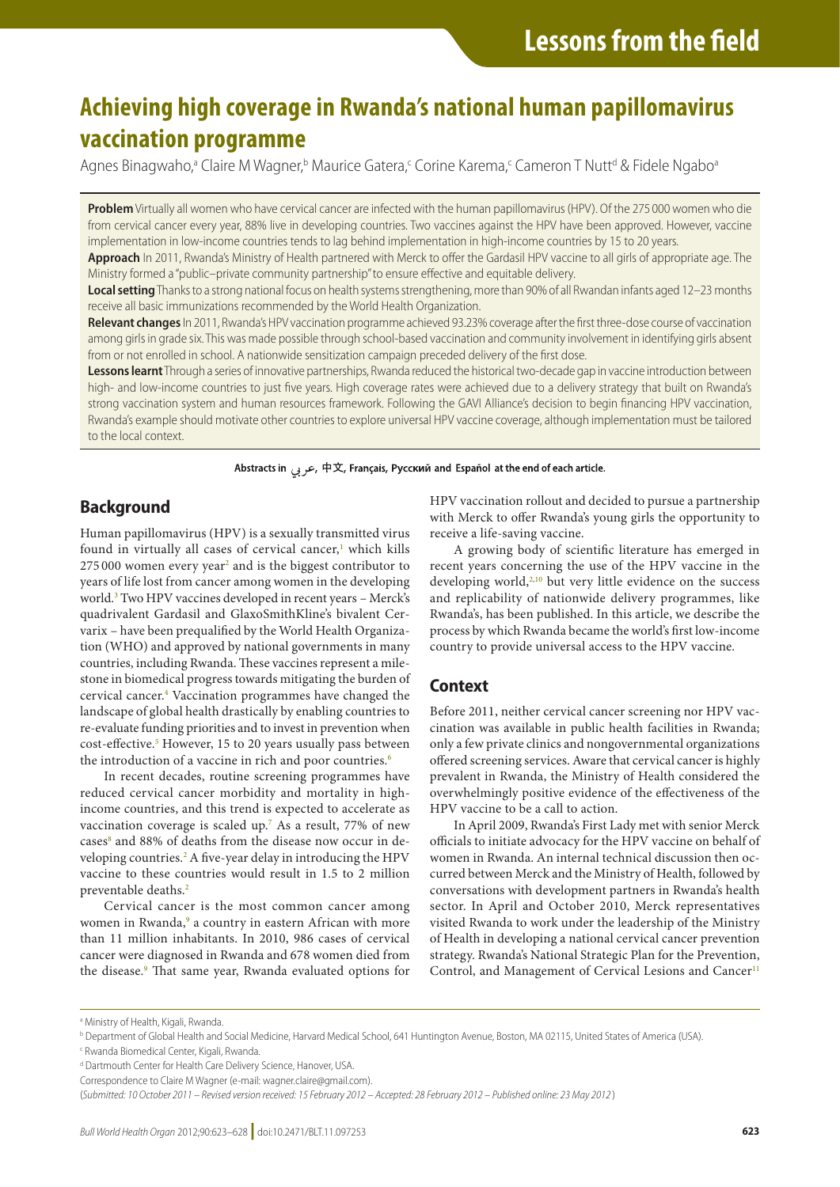# **Achieving high coverage in Rwanda's national human papillomavirus vaccination programme**

Agnes Binagwaho,<sup>a</sup> Claire M Wagner,<sup>b</sup> Maurice Gatera,<sup>c</sup> Corine Karema,<sup>c</sup> Cameron T Nutt<sup>d</sup> & Fidele Ngabo<sup>a</sup>

**Problem** Virtually all women who have cervical cancer are infected with the human papillomavirus (HPV). Of the 275 000 women who die from cervical cancer every year, 88% live in developing countries. Two vaccines against the HPV have been approved. However, vaccine implementation in low-income countries tends to lag behind implementation in high-income countries by 15 to 20 years.

**Approach** In 2011, Rwanda's Ministry of Health partnered with Merck to offer the Gardasil HPV vaccine to all girls of appropriate age. The Ministry formed a "public–private community partnership" to ensure effective and equitable delivery.

**Local setting** Thanks to a strong national focus on health systems strengthening, more than 90% of all Rwandan infants aged 12–23 months receive all basic immunizations recommended by the World Health Organization.

**Relevant changes** In 2011, Rwanda's HPV vaccination programme achieved 93.23% coverage after the first three-dose course of vaccination among girls in grade six. This was made possible through school-based vaccination and community involvement in identifying girls absent from or not enrolled in school. A nationwide sensitization campaign preceded delivery of the first dose.

**Lessons learnt** Through a series of innovative partnerships, Rwanda reduced the historical two-decade gap in vaccine introduction between high- and low-income countries to just five years. High coverage rates were achieved due to a delivery strategy that built on Rwanda's strong vaccination system and human resources framework. Following the GAVI Alliance's decision to begin financing HPV vaccination, Rwanda's example should motivate other countries to explore universal HPV vaccine coverage, although implementation must be tailored to the local context.

Abstracts in جربی, 中文, Français, Русский and Español at the end of each article.

### **Background**

Human papillomavirus (HPV) is a sexually transmitted virus found in virtually all cases of cervical cancer,<sup>[1](#page-4-0)</sup> which kills [2](#page-4-1)75 000 women every year<sup>2</sup> and is the biggest contributor to years of life lost from cancer among women in the developing world.<sup>3</sup> Two HPV vaccines developed in recent years – Merck's quadrivalent Gardasil and GlaxoSmithKline's bivalent Cervarix – have been prequalified by the World Health Organization (WHO) and approved by national governments in many countries, including Rwanda. These vaccines represent a milestone in biomedical progress towards mitigating the burden of cervical cancer.[4](#page-4-3) Vaccination programmes have changed the landscape of global health drastically by enabling countries to re-evaluate funding priorities and to invest in prevention when cost-effective.[5](#page-4-4) However, 15 to 20 years usually pass between the introduction of a vaccine in rich and poor countries.<sup>[6](#page-4-5)</sup>

In recent decades, routine screening programmes have reduced cervical cancer morbidity and mortality in highincome countries, and this trend is expected to accelerate as vaccination coverage is scaled up.<sup>7</sup> As a result, 77% of new cases<sup>8</sup> and 88% of deaths from the disease now occur in de-veloping countries.<sup>[2](#page-4-1)</sup> A five-year delay in introducing the HPV vaccine to these countries would result in 1.5 to 2 million preventable deaths.<sup>2</sup>

Cervical cancer is the most common cancer among women in Rwanda,<sup>[9](#page-4-8)</sup> a country in eastern African with more than 11 million inhabitants. In 2010, 986 cases of cervical cancer were diagnosed in Rwanda and 678 women died from the disease.<sup>[9](#page-4-8)</sup> That same year, Rwanda evaluated options for HPV vaccination rollout and decided to pursue a partnership with Merck to offer Rwanda's young girls the opportunity to receive a life-saving vaccine.

A growing body of scientific literature has emerged in recent years concerning the use of the HPV vaccine in the developing world, $2,10$  but very little evidence on the success and replicability of nationwide delivery programmes, like Rwanda's, has been published. In this article, we describe the process by which Rwanda became the world's first low-income country to provide universal access to the HPV vaccine.

### **Context**

Before 2011, neither cervical cancer screening nor HPV vaccination was available in public health facilities in Rwanda; only a few private clinics and nongovernmental organizations offered screening services. Aware that cervical cancer is highly prevalent in Rwanda, the Ministry of Health considered the overwhelmingly positive evidence of the effectiveness of the HPV vaccine to be a call to action.

In April 2009, Rwanda's First Lady met with senior Merck officials to initiate advocacy for the HPV vaccine on behalf of women in Rwanda. An internal technical discussion then occurred between Merck and the Ministry of Health, followed by conversations with development partners in Rwanda's health sector. In April and October 2010, Merck representatives visited Rwanda to work under the leadership of the Ministry of Health in developing a national cervical cancer prevention strategy. Rwanda's National Strategic Plan for the Prevention, Control, and Management of Cervical Lesions and Cancer<sup>11</sup>

<sup>&</sup>lt;sup>a</sup> Ministry of Health, Kigali, Rwanda.

b Department of Global Health and Social Medicine, Harvard Medical School, 641 Huntington Avenue, Boston, MA 02115, United States of America (USA).

c Rwanda Biomedical Center, Kigali, Rwanda.

d Dartmouth Center for Health Care Delivery Science, Hanover, USA.

Correspondence to Claire M Wagner (e-mail: wagner.claire@gmail.com).

<sup>(</sup>*Submitted: 10 October 2011 – Revised version received: 15 February 2012 – Accepted: 28 February 2012 – Published online: 23 May 2012* )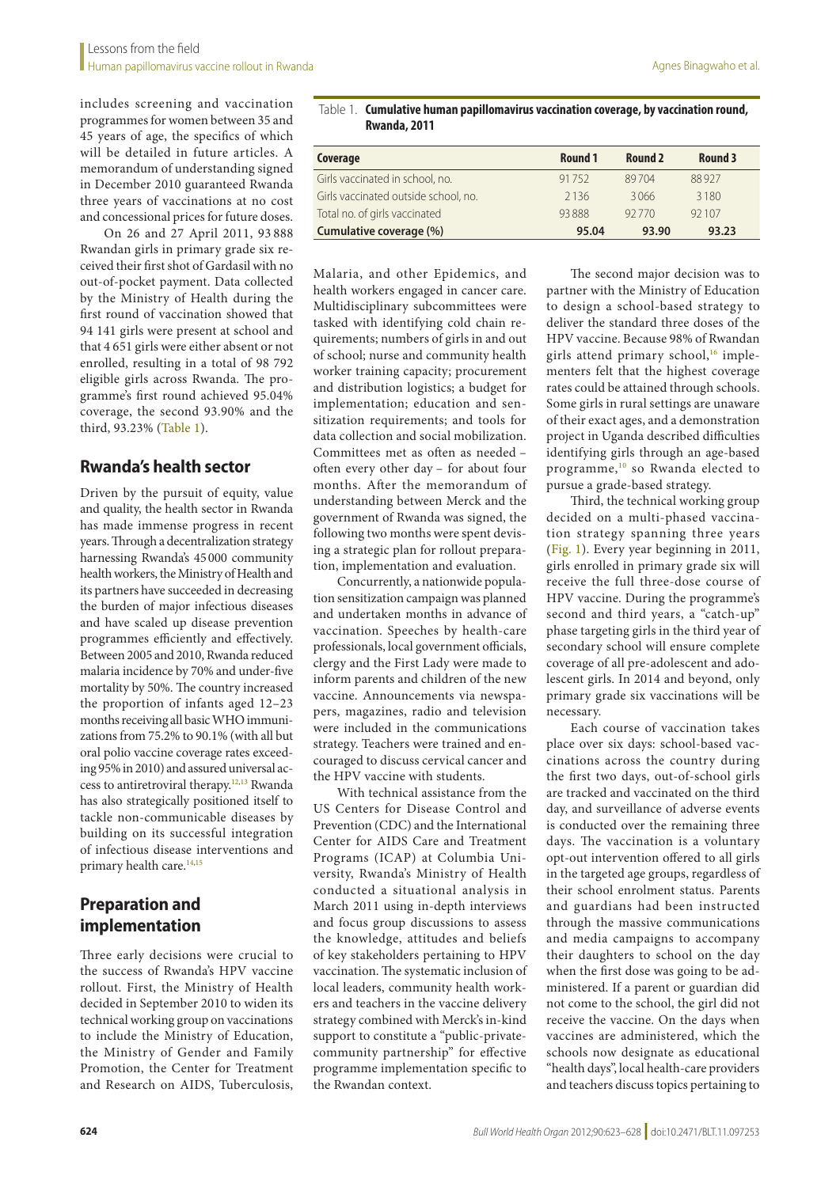includes screening and vaccination programmes for women between 35 and 45 years of age, the specifics of which will be detailed in future articles. A memorandum of understanding signed in December 2010 guaranteed Rwanda three years of vaccinations at no cost and concessional prices for future doses.

On 26 and 27 April 2011, 93 888 Rwandan girls in primary grade six received their first shot of Gardasil with no out-of-pocket payment. Data collected by the Ministry of Health during the first round of vaccination showed that 94 141 girls were present at school and that 4 651 girls were either absent or not enrolled, resulting in a total of 98 792 eligible girls across Rwanda. The programme's first round achieved 95.04% coverage, the second 93.90% and the third, 93.23% [\(Table](#page-1-0) 1).

### **Rwanda's health sector**

Driven by the pursuit of equity, value and quality, the health sector in Rwanda has made immense progress in recent years. Through a decentralization strategy harnessing Rwanda's 45000 community health workers, the Ministry of Health and its partners have succeeded in decreasing the burden of major infectious diseases and have scaled up disease prevention programmes efficiently and effectively. Between 2005 and 2010, Rwanda reduced malaria incidence by 70% and under-five mortality by 50%. The country increased the proportion of infants aged 12–23 months receiving all basic WHO immunizations from 75.2% to 90.1% (with all but oral polio vaccine coverage rates exceeding 95% in 2010) and assured universal access to antiretroviral therapy[.12](#page-4-11)[,13](#page-4-12) Rwanda has also strategically positioned itself to tackle non-communicable diseases by building on its successful integration of infectious disease interventions and primary health care.<sup>14[,15](#page-4-14)</sup>

### **Preparation and implementation**

Three early decisions were crucial to the success of Rwanda's HPV vaccine rollout. First, the Ministry of Health decided in September 2010 to widen its technical working group on vaccinations to include the Ministry of Education, the Ministry of Gender and Family Promotion, the Center for Treatment and Research on AIDS, Tuberculosis,

<span id="page-1-0"></span>

| Table 1. Cumulative human papillomavirus vaccination coverage, by vaccination round, |
|--------------------------------------------------------------------------------------|
| <b>Rwanda, 2011</b>                                                                  |

| Coverage                             | Round 1 | Round 2 | Round 3 |
|--------------------------------------|---------|---------|---------|
| Girls vaccinated in school, no.      | 91752   | 89704   | 88927   |
| Girls vaccinated outside school, no. | 2136    | 3066    | 3180    |
| Total no. of girls vaccinated        | 93888   | 92770   | 92107   |
| Cumulative coverage (%)              | 95.04   | 93.90   | 93.23   |

Malaria, and other Epidemics, and health workers engaged in cancer care. Multidisciplinary subcommittees were tasked with identifying cold chain requirements; numbers of girls in and out of school; nurse and community health worker training capacity; procurement and distribution logistics; a budget for implementation; education and sensitization requirements; and tools for data collection and social mobilization. Committees met as often as needed – often every other day – for about four months. After the memorandum of understanding between Merck and the government of Rwanda was signed, the following two months were spent devising a strategic plan for rollout preparation, implementation and evaluation.

Concurrently, a nationwide population sensitization campaign was planned and undertaken months in advance of vaccination. Speeches by health-care professionals, local government officials, clergy and the First Lady were made to inform parents and children of the new vaccine. Announcements via newspapers, magazines, radio and television were included in the communications strategy. Teachers were trained and encouraged to discuss cervical cancer and the HPV vaccine with students.

With technical assistance from the US Centers for Disease Control and Prevention (CDC) and the International Center for AIDS Care and Treatment Programs (ICAP) at Columbia University, Rwanda's Ministry of Health conducted a situational analysis in March 2011 using in-depth interviews and focus group discussions to assess the knowledge, attitudes and beliefs of key stakeholders pertaining to HPV vaccination. The systematic inclusion of local leaders, community health workers and teachers in the vaccine delivery strategy combined with Merck's in-kind support to constitute a "public-privatecommunity partnership" for effective programme implementation specific to the Rwandan context.

The second major decision was to partner with the Ministry of Education to design a school-based strategy to deliver the standard three doses of the HPV vaccine. Because 98% of Rwandan girls attend primary school, $16$  implementers felt that the highest coverage rates could be attained through schools. Some girls in rural settings are unaware of their exact ages, and a demonstration project in Uganda described difficulties identifying girls through an age-based programme,<sup>10</sup> so Rwanda elected to pursue a grade-based strategy.

Third, the technical working group decided on a multi-phased vaccination strategy spanning three years ([Fig.](#page-2-0) 1). Every year beginning in 2011, girls enrolled in primary grade six will receive the full three-dose course of HPV vaccine. During the programme's second and third years, a "catch-up" phase targeting girls in the third year of secondary school will ensure complete coverage of all pre-adolescent and adolescent girls. In 2014 and beyond, only primary grade six vaccinations will be necessary.

Each course of vaccination takes place over six days: school-based vaccinations across the country during the first two days, out-of-school girls are tracked and vaccinated on the third day, and surveillance of adverse events is conducted over the remaining three days. The vaccination is a voluntary opt-out intervention offered to all girls in the targeted age groups, regardless of their school enrolment status. Parents and guardians had been instructed through the massive communications and media campaigns to accompany their daughters to school on the day when the first dose was going to be administered. If a parent or guardian did not come to the school, the girl did not receive the vaccine. On the days when vaccines are administered, which the schools now designate as educational "health days", local health-care providers and teachers discuss topics pertaining to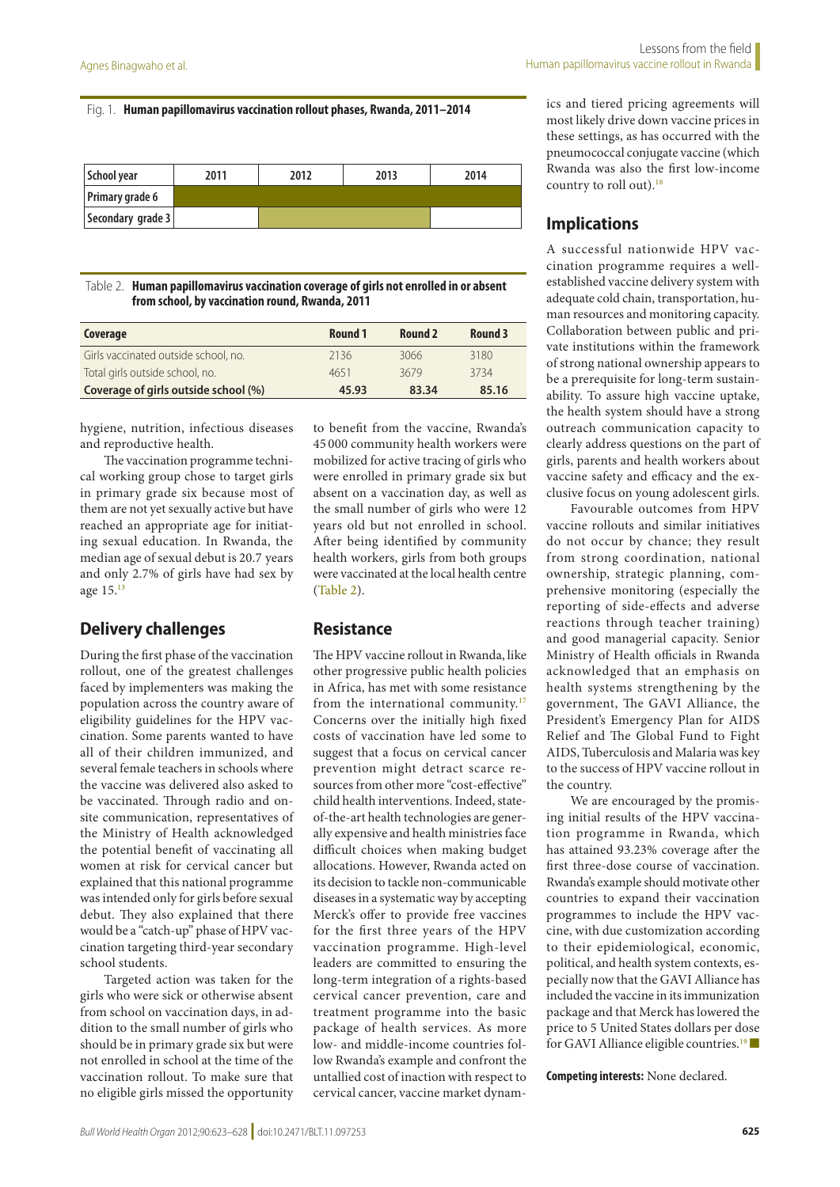<span id="page-2-0"></span>Fig. 1. **Human papillomavirus vaccination rollout phases, Rwanda, 2011–2014**

| School year            | 2011 | 2012 | 2013 | 2014 |
|------------------------|------|------|------|------|
| <b>Primary grade 6</b> |      |      |      |      |
| Secondary grade 3      |      |      |      |      |

### <span id="page-2-1"></span>Table 2. **Human papillomavirus vaccination coverage of girls not enrolled in or absent from school, by vaccination round, Rwanda, 2011**

| Coverage                             | Round 1 | Round 2 | Round 3 |
|--------------------------------------|---------|---------|---------|
| Girls vaccinated outside school, no. | 2136    | 3066    | 3180    |
| Total girls outside school, no.      | 4651    | 3679    | 3734    |
| Coverage of girls outside school (%) | 45.93   | 83.34   | 85.16   |

hygiene, nutrition, infectious diseases and reproductive health.

The vaccination programme technical working group chose to target girls in primary grade six because most of them are not yet sexually active but have reached an appropriate age for initiating sexual education. In Rwanda, the median age of sexual debut is 20.7 years and only 2.7% of girls have had sex by age 15[.13](#page-4-12)

### **Delivery challenges**

During the first phase of the vaccination rollout, one of the greatest challenges faced by implementers was making the population across the country aware of eligibility guidelines for the HPV vaccination. Some parents wanted to have all of their children immunized, and several female teachers in schools where the vaccine was delivered also asked to be vaccinated. Through radio and onsite communication, representatives of the Ministry of Health acknowledged the potential benefit of vaccinating all women at risk for cervical cancer but explained that this national programme was intended only for girls before sexual debut. They also explained that there would be a "catch-up" phase of HPV vaccination targeting third-year secondary school students.

Targeted action was taken for the girls who were sick or otherwise absent from school on vaccination days, in addition to the small number of girls who should be in primary grade six but were not enrolled in school at the time of the vaccination rollout. To make sure that no eligible girls missed the opportunity

to benefit from the vaccine, Rwanda's 45 000 community health workers were mobilized for active tracing of girls who were enrolled in primary grade six but absent on a vaccination day, as well as the small number of girls who were 12 years old but not enrolled in school. After being identified by community health workers, girls from both groups were vaccinated at the local health centre [\(Table](#page-2-1) 2).

### **Resistance**

The HPV vaccine rollout in Rwanda, like other progressive public health policies in Africa, has met with some resistance from the international community.<sup>[17](#page-5-1)</sup> Concerns over the initially high fixed costs of vaccination have led some to suggest that a focus on cervical cancer prevention might detract scarce resources from other more "cost-effective" child health interventions. Indeed, stateof-the-art health technologies are generally expensive and health ministries face difficult choices when making budget allocations. However, Rwanda acted on its decision to tackle non-communicable diseases in a systematic way by accepting Merck's offer to provide free vaccines for the first three years of the HPV vaccination programme. High-level leaders are committed to ensuring the long-term integration of a rights-based cervical cancer prevention, care and treatment programme into the basic package of health services. As more low- and middle-income countries follow Rwanda's example and confront the untallied cost of inaction with respect to cervical cancer, vaccine market dynamics and tiered pricing agreements will most likely drive down vaccine prices in these settings, as has occurred with the pneumococcal conjugate vaccine (which Rwanda was also the first low-income country to roll out).<sup>[18](#page-5-2)</sup>

### **Implications**

A successful nationwide HPV vaccination programme requires a wellestablished vaccine delivery system with adequate cold chain, transportation, human resources and monitoring capacity. Collaboration between public and private institutions within the framework of strong national ownership appears to be a prerequisite for long-term sustainability. To assure high vaccine uptake, the health system should have a strong outreach communication capacity to clearly address questions on the part of girls, parents and health workers about vaccine safety and efficacy and the exclusive focus on young adolescent girls.

Favourable outcomes from HPV vaccine rollouts and similar initiatives do not occur by chance; they result from strong coordination, national ownership, strategic planning, comprehensive monitoring (especially the reporting of side-effects and adverse reactions through teacher training) and good managerial capacity. Senior Ministry of Health officials in Rwanda acknowledged that an emphasis on health systems strengthening by the government, The GAVI Alliance, the President's Emergency Plan for AIDS Relief and The Global Fund to Fight AIDS, Tuberculosis and Malaria was key to the success of HPV vaccine rollout in the country.

We are encouraged by the promising initial results of the HPV vaccination programme in Rwanda, which has attained 93.23% coverage after the first three-dose course of vaccination. Rwanda's example should motivate other countries to expand their vaccination programmes to include the HPV vaccine, with due customization according to their epidemiological, economic, political, and health system contexts, especially now that the GAVI Alliance has included the vaccine in its immunization package and that Merck has lowered the price to 5 United States dollars per dose for GAVI Alliance eligible countries[.19](#page-5-3) ■

**Competing interests:** None declared.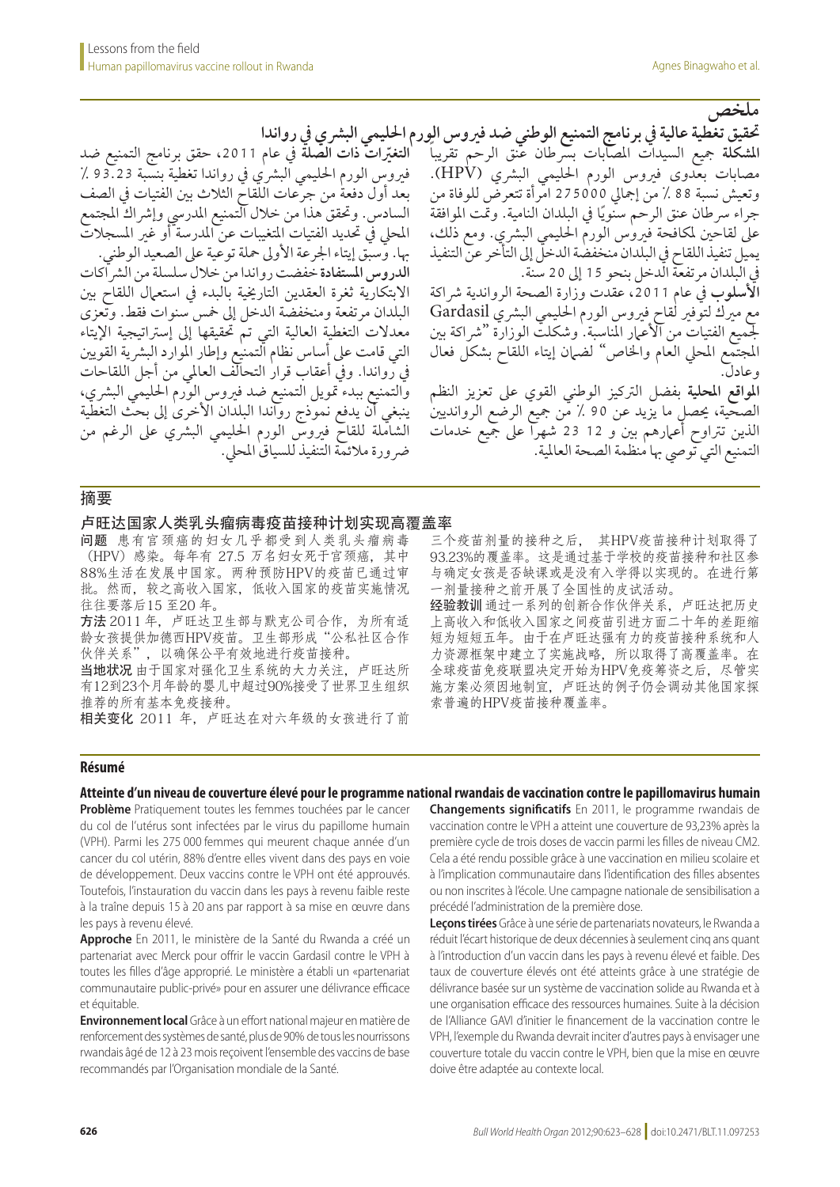**ملخص**

## ً **حتقيق تغطية عالية يف برنامج التمنيع الوطني ضد فريوس الورم احلليمي البرشي يف رواندا**

**التغرّيات ذات الصلة** يف عام ،2011 حقق برنامج التمنيع ضد فيروس الورم الحليمي البشري في رواندا تغطية بنسبة 93.23 ٪ بعد أول دفعة من جرعات اللقاح الثالث بني الفتيات يف الصف السادس. وتحقق هذا من خلال التمنيع المدرسي وإشراك المجتمع املحيل يف حتديد الفتيات املتغيبات عن املدرسة أو غري املسجالت هبا. وسبق إيتاء اجلرعة األوىل محلة توعية عىل الصعيد الوطني. **الدروس املستفادة** خفضت رواندا من خالل سلسلة من الرشاكات االبتكارية ثغرة العقدين التارخيية بالبدء يف استعامل اللقاح بني البلدان مرتفعة ومنخفضة الدخل إىل مخس سنوات فقط. وتعزى .<br>معدلات التغطية العالية التي تم تحقيقها إلى إستراتيجية الإيتاء التي قامت على أساس نظام التمنيع وإطار الموارد البشرية القويين ي<br>في رواندا. وفي أعقاب قرار التحالف العالمي من أجل اللقاحات والتمنيع ببدء تمويل التمنيع ضد فيروس الورم الحليمي البشري، ينبغي أن يدفع نموذج رواندا البلدان الأخرى إلى بحث التغطية الشاملة للقاح فيروس الورم الحليمي البشري على الرغم من ضرورة ملائمة التنفيذ للسياق المحلي.

الشكلة جميع السيدات المصابات بسرطان عنق الرحم تقريباً.<br>المشكلة جميع السيدات المصابات بسرطان عنق الرحم تقريباً. مصابات بعدوى فيروس الورم الحليمي البشري (HPV). وتعيش نسبة 88 % من إمجايل 275000 امرأة تتعرض للوفاة من جراء سرطان عنق الرحم سنويًا في البلدان النامية. وتمت الموافقة على لقاحين لمكافحة فيروس الورم الحليمي البشري. ومع ذلك، يميل تنفيذ اللقاح يف البلدان منخفضة الدخل إىل التأخر عن التنفيذ يف البلدان مرتفعة الدخل بنحو 15 إىل 20 سنة. ا**لأسلوب** في عام 2011، عقدت وزارة الصحة الرواندية شراكة مع ميرك لتوفير لقاح فيروس الورم الحليمي البشري Gardasil ب<br>جميع الفتيات من الأعمار المناسبة. وشكلت الوزارة "شراكة بين ..<br>المجتمع المحلي العام والخاص" لضمان إيتاء اللقاح بشكل فعال وعادل. **املواقع املحلية** بفضل الرتكيز الوطني القوي عىل تعزيز النظم الصحية، حيصل ما يزيد عن 90 % من مجيع الرضع الروانديني الذين ترتاوح أعامرهم بني و 12 23 شهرا عىل مجيع خدمات

摘要

### 卢旺达国家人类乳头瘤病毒疫苗接种计划实现高覆盖率

问题 患有宫颈癌的妇女几乎都受到人类乳头瘤病毒 (HPV)感染。每年有 27.5 万名妇女死于宫颈癌,其中 88%生活在发展中国家。两种预防HPV的疫苗已通过审 批。然而,较之高收入国家,低收入国家的疫苗实施情况 往往要落后15 至20 年。

方法 2011 年,卢旺达卫生部与默克公司合作,为所有适 龄女孩提供加德西HPV疫苗。卫生部形成"公私社区合作 伙伴关系",以确保公平有效地进行疫苗接种。

当地状况 由于国家对强化卫生系统的大力关注,卢旺达所 有12到23个月年龄的婴儿中超过90%接受了世界卫生组织 推荐的所有基本免疫接种。

相关变化 2011 年,卢旺达在对六年级的女孩进行了前

三个疫苗剂量的接种之后, 其HPV疫苗接种计划取得了 93.23%的覆盖率。这是通过基于学校的疫苗接种和社区参 与确定女孩是否缺课或是没有入学得以实现的。在进行第 一剂量接种之前开展了全国性的皮试活动。

التمنيع التي توصي بها منظمة الصحة العالمية.

经验教训 通过一系列的创新合作伙伴关系,卢旺达把历史 上高收入和低收入国家之间疫苗引进方面二十年的差距缩 短为短短五年。由于在卢旺达强有力的疫苗接种系统和人 力资源框架中建立了实施战略,所以取得了高覆盖率。在 全球疫苗免疫联盟决定开始为HPV免疫筹资之后,尽管实 施方案必须因地制宜,卢旺达的例子仍会调动其他国家探 索普遍的HPV疫苗接种覆盖率。

### **Résumé**

**Atteinte d'un niveau de couverture élevé pour le programme national rwandais de vaccination contre le papillomavirus humain** 

**Problème** Pratiquement toutes les femmes touchées par le cancer du col de l'utérus sont infectées par le virus du papillome humain (VPH). Parmi les 275 000 femmes qui meurent chaque année d'un cancer du col utérin, 88% d'entre elles vivent dans des pays en voie de développement. Deux vaccins contre le VPH ont été approuvés. Toutefois, l'instauration du vaccin dans les pays à revenu faible reste à la traîne depuis 15 à 20 ans par rapport à sa mise en œuvre dans les pays à revenu élevé.

**Approche** En 2011, le ministère de la Santé du Rwanda a créé un partenariat avec Merck pour offrir le vaccin Gardasil contre le VPH à toutes les filles d'âge approprié. Le ministère a établi un «partenariat communautaire public-privé» pour en assurer une délivrance efficace et équitable.

**Environnement local** Grâce à un effort national majeur en matière de renforcement des systèmes de santé, plus de 90% de tous les nourrissons rwandais âgé de 12 à 23 mois reçoivent l'ensemble des vaccins de base recommandés par l'Organisation mondiale de la Santé.

**Changements significatifs** En 2011, le programme rwandais de vaccination contre le VPH a atteint une couverture de 93,23% après la première cycle de trois doses de vaccin parmi les filles de niveau CM2. Cela a été rendu possible grâce à une vaccination en milieu scolaire et à l'implication communautaire dans l'identification des filles absentes ou non inscrites à l'école. Une campagne nationale de sensibilisation a précédé l'administration de la première dose.

**Leçons tirées** Grâce à une série de partenariats novateurs, le Rwanda a réduit l'écart historique de deux décennies à seulement cinq ans quant à l'introduction d'un vaccin dans les pays à revenu élevé et faible. Des taux de couverture élevés ont été atteints grâce à une stratégie de délivrance basée sur un système de vaccination solide au Rwanda et à une organisation efficace des ressources humaines. Suite à la décision de l'Alliance GAVI d'initier le financement de la vaccination contre le VPH, l'exemple du Rwanda devrait inciter d'autres pays à envisager une couverture totale du vaccin contre le VPH, bien que la mise en œuvre doive être adaptée au contexte local.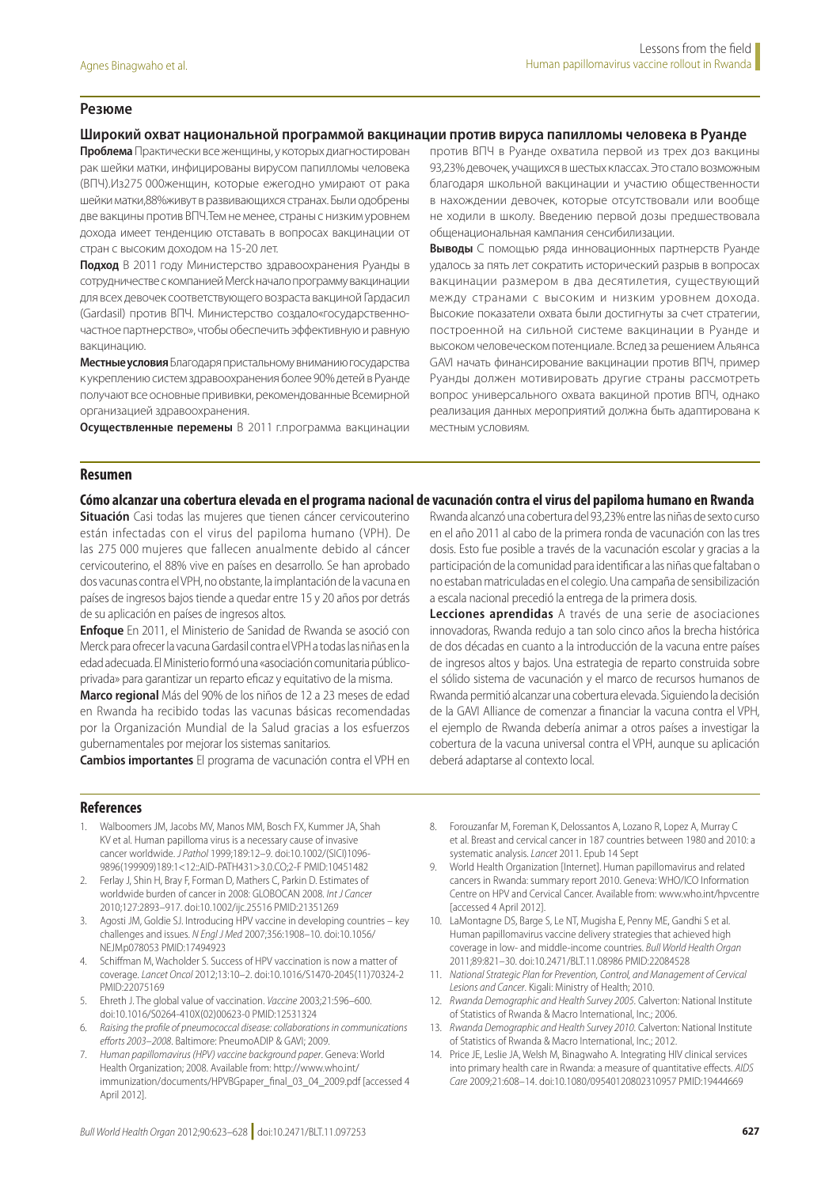### **Резюме**

**Широкий охват национальной программой вакцинации против вируса папилломы человека в Руанде**

**Проблема** Практически все женщины, у которых диагностирован рак шейки матки, инфицированы вирусом папилломы человека (ВПЧ).Из275 000женщин, которые ежегодно умирают от рака шейки матки,88%живут в развивающихся странах. Были одобрены две вакцины против ВПЧ.Тем не менее, страны с низким уровнем дохода имеет тенденцию отставать в вопросах вакцинации от стран с высоким доходом на 15-20 лет.

**Подход** В 2011 году Министерство здравоохранения Руанды в сотрудничестве с компанией Merck начало программу вакцинации для всех девочек соответствующего возраста вакциной Гардасил (Gardasil) против ВПЧ. Министерство создало«государственночастное партнерство», чтобы обеспечить эффективную и равную вакцинацию.

**Местные условия** Благодаря пристальному вниманию государства к укреплению систем здравоохранения более 90% детей в Руанде получают все основные прививки, рекомендованные Всемирной организацией здравоохранения.

**Осуществленные перемены** В 2011 г.программа вакцинации

против ВПЧ в Руанде охватила первой из трех доз вакцины 93,23% девочек, учащихся в шестых классах. Это стало возможным благодаря школьной вакцинации и участию общественности в нахождении девочек, которые отсутствовали или вообще не ходили в школу. Введению первой дозы предшествовала общенациональная кампания сенсибилизации.

**Выводы** С помощью ряда инновационных партнерств Руанде удалось за пять лет сократить исторический разрыв в вопросах вакцинации размером в два десятилетия, существующий между странами с высоким и низким уровнем дохода. Высокие показатели охвата были достигнуты за счет стратегии, построенной на сильной системе вакцинации в Руанде и высоком человеческом потенциале. Вслед за решением Альянса GAVI начать финансирование вакцинации против ВПЧ, пример Руанды должен мотивировать другие страны рассмотреть вопрос универсального охвата вакциной против ВПЧ, однако реализация данных мероприятий должна быть адаптирована к местным условиям.

### **Resumen**

### **Cómo alcanzar una cobertura elevada en el programa nacional de vacunación contra el virus del papiloma humano en Rwanda**

**Situación** Casi todas las mujeres que tienen cáncer cervicouterino están infectadas con el virus del papiloma humano (VPH). De las 275 000 mujeres que fallecen anualmente debido al cáncer cervicouterino, el 88% vive en países en desarrollo. Se han aprobado dos vacunas contra el VPH, no obstante, la implantación de la vacuna en países de ingresos bajos tiende a quedar entre 15 y 20 años por detrás de su aplicación en países de ingresos altos.

**Enfoque** En 2011, el Ministerio de Sanidad de Rwanda se asoció con Merck para ofrecer la vacuna Gardasil contra el VPH a todas las niñas en la edad adecuada. El Ministerio formó una «asociación comunitaria públicoprivada» para garantizar un reparto eficaz y equitativo de la misma.

**Marco regional** Más del 90% de los niños de 12 a 23 meses de edad en Rwanda ha recibido todas las vacunas básicas recomendadas por la Organización Mundial de la Salud gracias a los esfuerzos gubernamentales por mejorar los sistemas sanitarios.

**Cambios importantes** El programa de vacunación contra el VPH en

Rwanda alcanzó una cobertura del 93,23% entre las niñas de sexto curso en el año 2011 al cabo de la primera ronda de vacunación con las tres dosis. Esto fue posible a través de la vacunación escolar y gracias a la participación de la comunidad para identificar a las niñas que faltaban o no estaban matriculadas en el colegio. Una campaña de sensibilización a escala nacional precedió la entrega de la primera dosis.

**Lecciones aprendidas** A través de una serie de asociaciones innovadoras, Rwanda redujo a tan solo cinco años la brecha histórica de dos décadas en cuanto a la introducción de la vacuna entre países de ingresos altos y bajos. Una estrategia de reparto construida sobre el sólido sistema de vacunación y el marco de recursos humanos de Rwanda permitió alcanzar una cobertura elevada. Siguiendo la decisión de la GAVI Alliance de comenzar a financiar la vacuna contra el VPH, el ejemplo de Rwanda debería animar a otros países a investigar la cobertura de la vacuna universal contra el VPH, aunque su aplicación deberá adaptarse al contexto local.

#### **References**

- <span id="page-4-0"></span>1. Walboomers JM, Jacobs MV, Manos MM, Bosch FX, Kummer JA, Shah KV et al. Human papilloma virus is a necessary cause of invasive cancer worldwide. *J Pathol* 1999;189:12–9. doi:[10.1002/\(SICI\)1096-](http://dx.doi.org/10.1002/(SICI)1096-9896(199909)189:1<12::AID-PATH431>3.0.CO;2-F) [9896\(199909\)189:1<12::AID-PATH431>3.0.CO;2-F](http://dx.doi.org/10.1002/(SICI)1096-9896(199909)189:1<12::AID-PATH431>3.0.CO;2-F) PMID[:10451482](http://www.ncbi.nlm.nih.gov/pubmed/10451482)
- <span id="page-4-1"></span>2. Ferlay J, Shin H, Bray F, Forman D, Mathers C, Parkin D. Estimates of worldwide burden of cancer in 2008: GLOBOCAN 2008. *Int J Cancer* 2010;127:2893–917. doi:[10.1002/ijc.25516](http://dx.doi.org/10.1002/ijc.25516) PMID[:21351269](http://www.ncbi.nlm.nih.gov/pubmed/21351269)
- <span id="page-4-2"></span>3. Agosti JM, Goldie SJ. Introducing HPV vaccine in developing countries – key challenges and issues. *N Engl J Med* 2007;356:1908–10. doi:[10.1056/](http://dx.doi.org/10.1056/NEJMp078053) [NEJMp078053](http://dx.doi.org/10.1056/NEJMp078053) PMID[:17494923](http://www.ncbi.nlm.nih.gov/pubmed/17494923)
- <span id="page-4-3"></span>4. Schiffman M, Wacholder S. Success of HPV vaccination is now a matter of coverage. *Lancet Oncol* 2012;13:10–2. doi[:10.1016/S1470-2045\(11\)70324-2](http://dx.doi.org/10.1016/S1470-2045(11)70324-2) PMID:[22075169](http://www.ncbi.nlm.nih.gov/pubmed/22075169)
- <span id="page-4-4"></span>5. Ehreth J. The global value of vaccination. *Vaccine* 2003;21:596–600. doi:[10.1016/S0264-410X\(02\)00623-0](http://dx.doi.org/10.1016/S0264-410X(02)00623-0) PMID:[12531324](http://www.ncbi.nlm.nih.gov/pubmed/12531324)
- <span id="page-4-5"></span>6. *Raising the profile of pneumococcal disease: collaborations in communications efforts 2003–2008*. Baltimore: PneumoADIP & GAVI; 2009.
- <span id="page-4-6"></span>7. *Human papillomavirus (HPV) vaccine background paper*. Geneva: World Health Organization; 2008. Available from: [http://www.who.int/](http://www.who.int/immunization/documents/HPVBGpaper_final_03_04_2009.pdf) [immunization/documents/HPVBGpaper\\_final\\_03\\_04\\_2009.pdf](http://www.who.int/immunization/documents/HPVBGpaper_final_03_04_2009.pdf) [accessed 4 April 2012].
- <span id="page-4-7"></span>8. Forouzanfar M, Foreman K, Delossantos A, Lozano R, Lopez A, Murray C et al. Breast and cervical cancer in 187 countries between 1980 and 2010: a systematic analysis. *Lancet* 2011. Epub 14 Sept
- <span id="page-4-8"></span>9. World Health Organization [Internet]. Human papillomavirus and related cancers in Rwanda: summary report 2010. Geneva: WHO/ICO Information Centre on HPV and Cervical Cancer. Available from: [www.who.int/hpvcentre](http://www.who.int/hpvcentre) [accessed 4 April 2012].
- <span id="page-4-9"></span>10. LaMontagne DS, Barge S, Le NT, Mugisha E, Penny ME, Gandhi S et al. Human papillomavirus vaccine delivery strategies that achieved high coverage in low- and middle-income countries. *Bull World Health Organ* 2011;89:821–30. doi:[10.2471/BLT.11.08986](http://dx.doi.org/10.2471/BLT.11.08986) PMID[:22084528](http://www.ncbi.nlm.nih.gov/pubmed/22084528)
- <span id="page-4-10"></span>11. *National Strategic Plan for Prevention, Control, and Management of Cervical Lesions and Cancer*. Kigali: Ministry of Health; 2010.
- <span id="page-4-11"></span>12. *Rwanda Demographic and Health Survey 2005*. Calverton: National Institute of Statistics of Rwanda & Macro International, Inc.; 2006.
- <span id="page-4-12"></span>13. *Rwanda Demographic and Health Survey 2010*. Calverton: National Institute of Statistics of Rwanda & Macro International, Inc.; 2012.
- <span id="page-4-14"></span><span id="page-4-13"></span>14. Price JE, Leslie JA, Welsh M, Binagwaho A. Integrating HIV clinical services into primary health care in Rwanda: a measure of quantitative effects. *AIDS Care* 2009;21:608–14. doi:[10.1080/09540120802310957](http://dx.doi.org/10.1080/09540120802310957) PMID[:19444669](http://www.ncbi.nlm.nih.gov/pubmed/19444669)